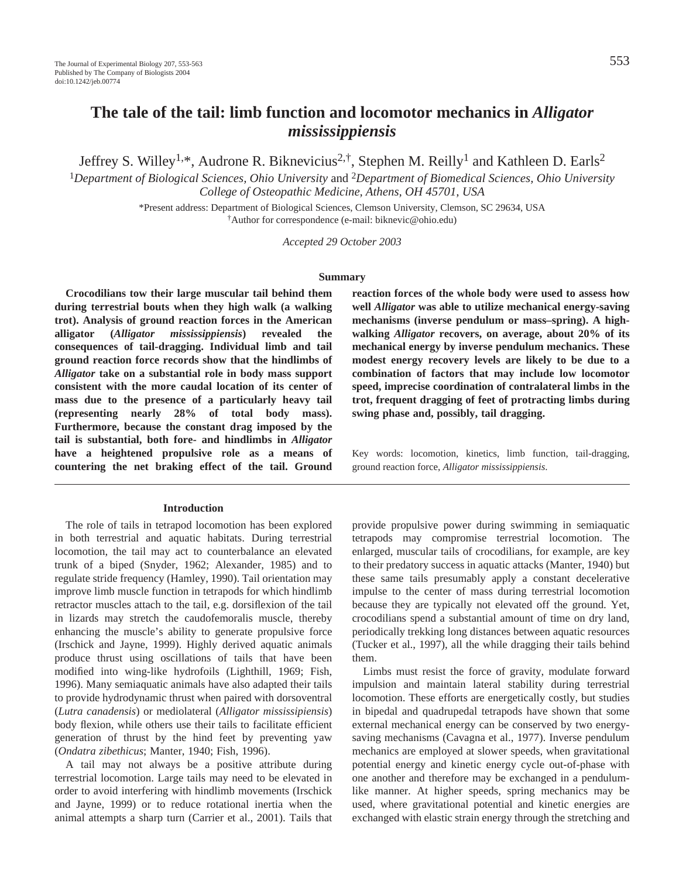# **The tale of the tail: limb function and locomotor mechanics in** *Alligator mississippiensis*

Jeffrey S. Willey<sup>1,\*</sup>, Audrone R. Biknevicius<sup>2,†</sup>, Stephen M. Reilly<sup>1</sup> and Kathleen D. Earls<sup>2</sup>

<sup>1</sup>*Department of Biological Sciences, Ohio University* and 2*Department of Biomedical Sciences, Ohio University College of Osteopathic Medicine, Athens, OH 45701, USA*

> \*Present address: Department of Biological Sciences, Clemson University, Clemson, SC 29634, USA †Author for correspondence (e-mail: biknevic@ohio.edu)

> > *Accepted 29 October 2003*

#### **Summary**

**Crocodilians tow their large muscular tail behind them during terrestrial bouts when they high walk (a walking trot). Analysis of ground reaction forces in the American alligator (***Alligator mississippiensis***) revealed the consequences of tail-dragging. Individual limb and tail ground reaction force records show that the hindlimbs of** *Alligator* **take on a substantial role in body mass support consistent with the more caudal location of its center of mass due to the presence of a particularly heavy tail (representing nearly 28% of total body mass). Furthermore, because the constant drag imposed by the tail is substantial, both fore- and hindlimbs in** *Alligator* **have a heightened propulsive role as a means of countering the net braking effect of the tail. Ground**

#### **Introduction**

The role of tails in tetrapod locomotion has been explored in both terrestrial and aquatic habitats. During terrestrial locomotion, the tail may act to counterbalance an elevated trunk of a biped (Snyder, 1962; Alexander, 1985) and to regulate stride frequency (Hamley, 1990). Tail orientation may improve limb muscle function in tetrapods for which hindlimb retractor muscles attach to the tail, e.g. dorsiflexion of the tail in lizards may stretch the caudofemoralis muscle, thereby enhancing the muscle's ability to generate propulsive force (Irschick and Jayne, 1999). Highly derived aquatic animals produce thrust using oscillations of tails that have been modified into wing-like hydrofoils (Lighthill, 1969; Fish, 1996). Many semiaquatic animals have also adapted their tails to provide hydrodynamic thrust when paired with dorsoventral (*Lutra canadensis*) or mediolateral (*Alligator mississipiensis*) body flexion, while others use their tails to facilitate efficient generation of thrust by the hind feet by preventing yaw (*Ondatra zibethicus*; Manter, 1940; Fish, 1996).

A tail may not always be a positive attribute during terrestrial locomotion. Large tails may need to be elevated in order to avoid interfering with hindlimb movements (Irschick and Jayne, 1999) or to reduce rotational inertia when the animal attempts a sharp turn (Carrier et al., 2001). Tails that

**reaction forces of the whole body were used to assess how well** *Alligator* **was able to utilize mechanical energy-saving mechanisms (inverse pendulum or mass–spring). A highwalking** *Alligator* **recovers, on average, about 20% of its mechanical energy by inverse pendulum mechanics. These modest energy recovery levels are likely to be due to a combination of factors that may include low locomotor speed, imprecise coordination of contralateral limbs in the trot, frequent dragging of feet of protracting limbs during swing phase and, possibly, tail dragging.** 

Key words: locomotion, kinetics, limb function, tail-dragging, ground reaction force, *Alligator mississippiensis*.

provide propulsive power during swimming in semiaquatic tetrapods may compromise terrestrial locomotion. The enlarged, muscular tails of crocodilians, for example, are key to their predatory success in aquatic attacks (Manter, 1940) but these same tails presumably apply a constant decelerative impulse to the center of mass during terrestrial locomotion because they are typically not elevated off the ground. Yet, crocodilians spend a substantial amount of time on dry land, periodically trekking long distances between aquatic resources (Tucker et al., 1997), all the while dragging their tails behind them.

Limbs must resist the force of gravity, modulate forward impulsion and maintain lateral stability during terrestrial locomotion. These efforts are energetically costly, but studies in bipedal and quadrupedal tetrapods have shown that some external mechanical energy can be conserved by two energysaving mechanisms (Cavagna et al., 1977). Inverse pendulum mechanics are employed at slower speeds, when gravitational potential energy and kinetic energy cycle out-of-phase with one another and therefore may be exchanged in a pendulumlike manner. At higher speeds, spring mechanics may be used, where gravitational potential and kinetic energies are exchanged with elastic strain energy through the stretching and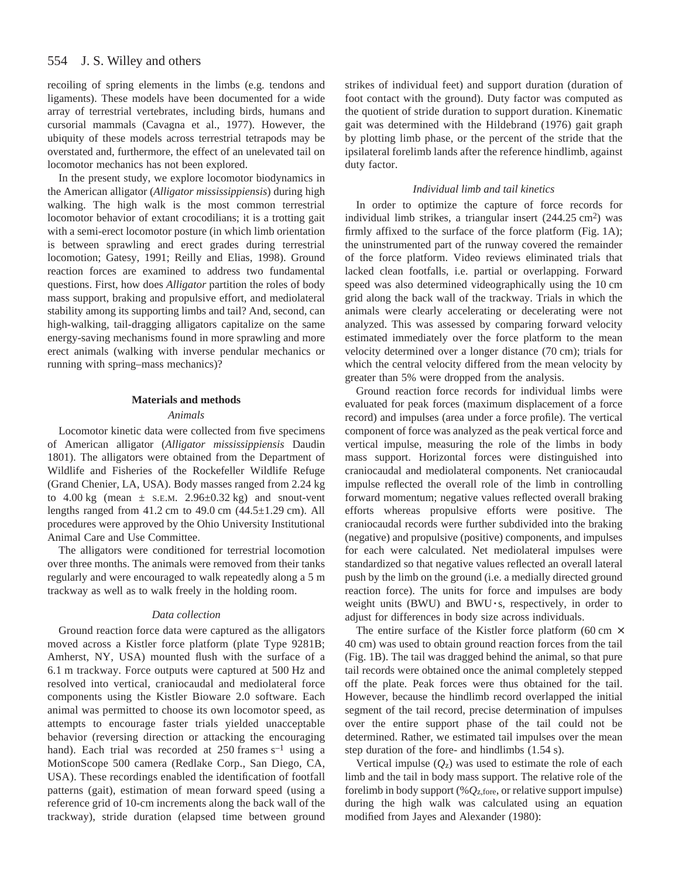recoiling of spring elements in the limbs (e.g. tendons and ligaments). These models have been documented for a wide array of terrestrial vertebrates, including birds, humans and cursorial mammals (Cavagna et al., 1977). However, the ubiquity of these models across terrestrial tetrapods may be overstated and, furthermore, the effect of an unelevated tail on locomotor mechanics has not been explored.

In the present study, we explore locomotor biodynamics in the American alligator (*Alligator mississippiensis*) during high walking. The high walk is the most common terrestrial locomotor behavior of extant crocodilians; it is a trotting gait with a semi-erect locomotor posture (in which limb orientation is between sprawling and erect grades during terrestrial locomotion; Gatesy, 1991; Reilly and Elias, 1998). Ground reaction forces are examined to address two fundamental questions. First, how does *Alligator* partition the roles of body mass support, braking and propulsive effort, and mediolateral stability among its supporting limbs and tail? And, second, can high-walking, tail-dragging alligators capitalize on the same energy-saving mechanisms found in more sprawling and more erect animals (walking with inverse pendular mechanics or running with spring–mass mechanics)?

#### **Materials and methods**

#### *Animals*

Locomotor kinetic data were collected from five specimens of American alligator (*Alligator mississippiensis* Daudin 1801). The alligators were obtained from the Department of Wildlife and Fisheries of the Rockefeller Wildlife Refuge (Grand Chenier, LA, USA). Body masses ranged from 2.24 kg to  $4.00 \text{ kg}$  (mean  $\pm$  s.e.m.  $2.96 \pm 0.32 \text{ kg}$ ) and snout-vent lengths ranged from  $41.2$  cm to  $49.0$  cm  $(44.5\pm1.29$  cm). All procedures were approved by the Ohio University Institutional Animal Care and Use Committee.

The alligators were conditioned for terrestrial locomotion over three months. The animals were removed from their tanks regularly and were encouraged to walk repeatedly along a 5 m trackway as well as to walk freely in the holding room.

#### *Data collection*

Ground reaction force data were captured as the alligators moved across a Kistler force platform (plate Type 9281B; Amherst, NY, USA) mounted flush with the surface of a 6.1 m trackway. Force outputs were captured at 500 Hz and resolved into vertical, craniocaudal and mediolateral force components using the Kistler Bioware 2.0 software. Each animal was permitted to choose its own locomotor speed, as attempts to encourage faster trials yielded unacceptable behavior (reversing direction or attacking the encouraging hand). Each trial was recorded at  $250$  frames  $s^{-1}$  using a MotionScope 500 camera (Redlake Corp., San Diego, CA, USA). These recordings enabled the identification of footfall patterns (gait), estimation of mean forward speed (using a reference grid of 10-cm increments along the back wall of the trackway), stride duration (elapsed time between ground strikes of individual feet) and support duration (duration of foot contact with the ground). Duty factor was computed as the quotient of stride duration to support duration. Kinematic gait was determined with the Hildebrand (1976) gait graph by plotting limb phase, or the percent of the stride that the ipsilateral forelimb lands after the reference hindlimb, against duty factor.

## *Individual limb and tail kinetics*

In order to optimize the capture of force records for individual limb strikes, a triangular insert  $(244.25 \text{ cm}^2)$  was firmly affixed to the surface of the force platform (Fig.  $1A$ ); the uninstrumented part of the runway covered the remainder of the force platform. Video reviews eliminated trials that lacked clean footfalls, i.e. partial or overlapping. Forward speed was also determined videographically using the 10 cm grid along the back wall of the trackway. Trials in which the animals were clearly accelerating or decelerating were not analyzed. This was assessed by comparing forward velocity estimated immediately over the force platform to the mean velocity determined over a longer distance (70 cm); trials for which the central velocity differed from the mean velocity by greater than 5% were dropped from the analysis.

Ground reaction force records for individual limbs were evaluated for peak forces (maximum displacement of a force record) and impulses (area under a force profile). The vertical component of force was analyzed as the peak vertical force and vertical impulse, measuring the role of the limbs in body mass support. Horizontal forces were distinguished into craniocaudal and mediolateral components. Net craniocaudal impulse reflected the overall role of the limb in controlling forward momentum; negative values reflected overall braking efforts whereas propulsive efforts were positive. The craniocaudal records were further subdivided into the braking (negative) and propulsive (positive) components, and impulses for each were calculated. Net mediolateral impulses were standardized so that negative values reflected an overall lateral push by the limb on the ground (i.e. a medially directed ground reaction force). The units for force and impulses are body weight units (BWU) and BWU **·**s, respectively, in order to adjust for differences in body size across individuals.

The entire surface of the Kistler force platform (60 cm  $\times$ 40 cm) was used to obtain ground reaction forces from the tail (Fig. 1B). The tail was dragged behind the animal, so that pure tail records were obtained once the animal completely stepped off the plate. Peak forces were thus obtained for the tail. However, because the hindlimb record overlapped the initial segment of the tail record, precise determination of impulses over the entire support phase of the tail could not be determined. Rather, we estimated tail impulses over the mean step duration of the fore- and hindlimbs  $(1.54 s)$ .

Vertical impulse  $(Q_z)$  was used to estimate the role of each limb and the tail in body mass support. The relative role of the forelimb in body support (%*Q*z,fore, or relative support impulse) during the high walk was calculated using an equation modified from Jayes and Alexander (1980):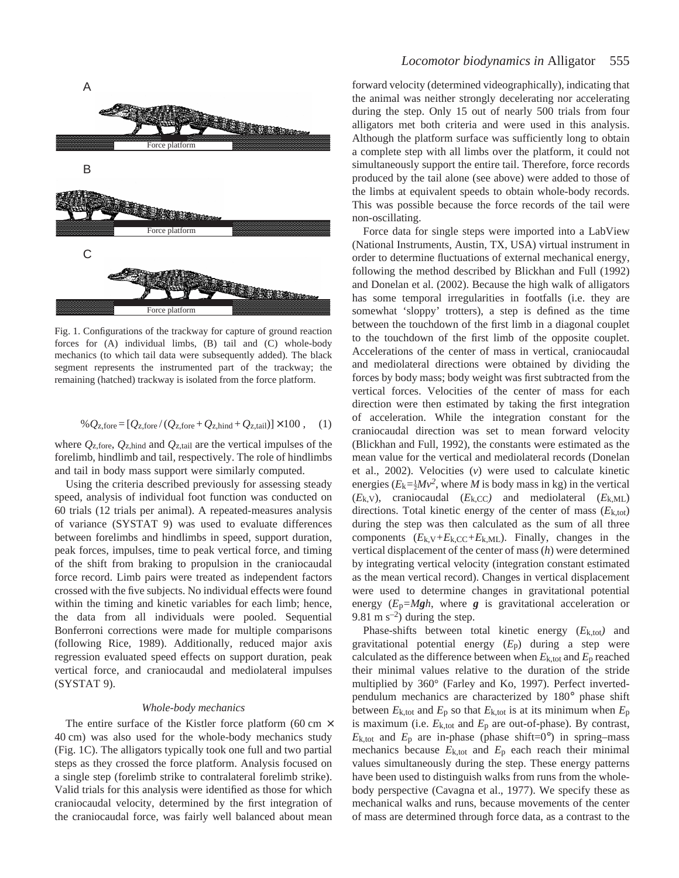

Fig. 1. Configurations of the trackway for capture of ground reaction forces for (A) individual limbs, (B) tail and (C) whole-body mechanics (to which tail data were subsequently added). The black segment represents the instrumented part of the trackway; the remaining (hatched) trackway is isolated from the force platform.

$$
\% Q_{z, \text{fore}} = [Q_{z, \text{fore}} / (Q_{z, \text{fore}} + Q_{z, \text{hind}} + Q_{z, \text{tail}})] \times 100 , \quad (1)
$$

where  $Q_{z, \text{fore}}$ ,  $Q_{z, \text{hind}}$  and  $Q_{z, \text{tail}}$  are the vertical impulses of the forelimb, hindlimb and tail, respectively. The role of hindlimbs and tail in body mass support were similarly computed.

Using the criteria described previously for assessing steady speed, analysis of individual foot function was conducted on 60 trials (12 trials per animal). A repeated-measures analysis of variance (SYSTAT 9) was used to evaluate differences between forelimbs and hindlimbs in speed, support duration, peak forces, impulses, time to peak vertical force, and timing of the shift from braking to propulsion in the craniocaudal force record. Limb pairs were treated as independent factors crossed with the five subjects. No individual effects were found within the timing and kinetic variables for each limb; hence, the data from all individuals were pooled. Sequential Bonferroni corrections were made for multiple comparisons (following Rice, 1989). Additionally, reduced major axis regression evaluated speed effects on support duration, peak vertical force, and craniocaudal and mediolateral impulses (SYSTAT 9).

## *Whole-body mechanics*

The entire surface of the Kistler force platform (60 cm  $\times$ 40 cm) was also used for the whole-body mechanics study (Fig. 1C). The alligators typically took one full and two partial steps as they crossed the force platform. Analysis focused on a single step (forelimb strike to contralateral forelimb strike). Valid trials for this analysis were identified as those for which craniocaudal velocity, determined by the first integration of the craniocaudal force, was fairly well balanced about mean

# *Locomotor biodynamics in* Alligator 555

forward velocity (determined videographically), indicating that the animal was neither strongly decelerating nor accelerating during the step. Only 15 out of nearly 500 trials from four alligators met both criteria and were used in this analysis. Although the platform surface was sufficiently long to obtain a complete step with all limbs over the platform, it could not simultaneously support the entire tail. Therefore, force records produced by the tail alone (see above) were added to those of the limbs at equivalent speeds to obtain whole-body records. This was possible because the force records of the tail were non-oscillating.

Force data for single steps were imported into a LabView (National Instruments, Austin, TX, USA) virtual instrument in order to determine fluctuations of external mechanical energy, following the method described by Blickhan and Full (1992) and Donelan et al. (2002). Because the high walk of alligators has some temporal irregularities in footfalls (i.e. they are somewhat 'sloppy' trotters), a step is defined as the time between the touchdown of the first limb in a diagonal couplet to the touchdown of the first limb of the opposite couplet. Accelerations of the center of mass in vertical, craniocaudal and mediolateral directions were obtained by dividing the forces by body mass; body weight was first subtracted from the vertical forces. Velocities of the center of mass for each direction were then estimated by taking the first integration of acceleration. While the integration constant for the craniocaudal direction was set to mean forward velocity (Blickhan and Full, 1992), the constants were estimated as the mean value for the vertical and mediolateral records (Donelan et al., 2002). Velocities (*v*) were used to calculate kinetic energies ( $E_k = \frac{1}{2}Mv^2$ , where *M* is body mass in kg) in the vertical  $(E_k, v)$ , craniocaudal  $(E_k, CC)$  and mediolateral  $(E_k, ML)$ directions. Total kinetic energy of the center of mass (*E*k,tot) during the step was then calculated as the sum of all three components  $(E_{k,V}+E_{k,CC}+E_{k,ML})$ . Finally, changes in the vertical displacement of the center of mass (*h*) were determined by integrating vertical velocity (integration constant estimated as the mean vertical record). Changes in vertical displacement were used to determine changes in gravitational potential energy  $(E_p = Mgh)$ , where *g* is gravitational acceleration or 9.81 m  $s^{-2}$ ) during the step.

Phase-shifts between total kinetic energy (*E*k,tot*)* and gravitational potential energy (*E*p) during a step were calculated as the difference between when  $E_{k, tot}$  and  $E_p$  reached their minimal values relative to the duration of the stride multiplied by 360° (Farley and Ko, 1997). Perfect invertedpendulum mechanics are characterized by 180° phase shift between  $E_{k,\text{tot}}$  and  $E_p$  so that  $E_{k,\text{tot}}$  is at its minimum when  $E_p$ is maximum (i.e.  $E_{k, tot}$  and  $E_p$  are out-of-phase). By contrast,  $E_{k, tot}$  and  $E_p$  are in-phase (phase shift=0°) in spring–mass mechanics because  $E_{k,\text{tot}}$  and  $E_p$  each reach their minimal values simultaneously during the step. These energy patterns have been used to distinguish walks from runs from the wholebody perspective (Cavagna et al., 1977). We specify these as mechanical walks and runs, because movements of the center of mass are determined through force data, as a contrast to the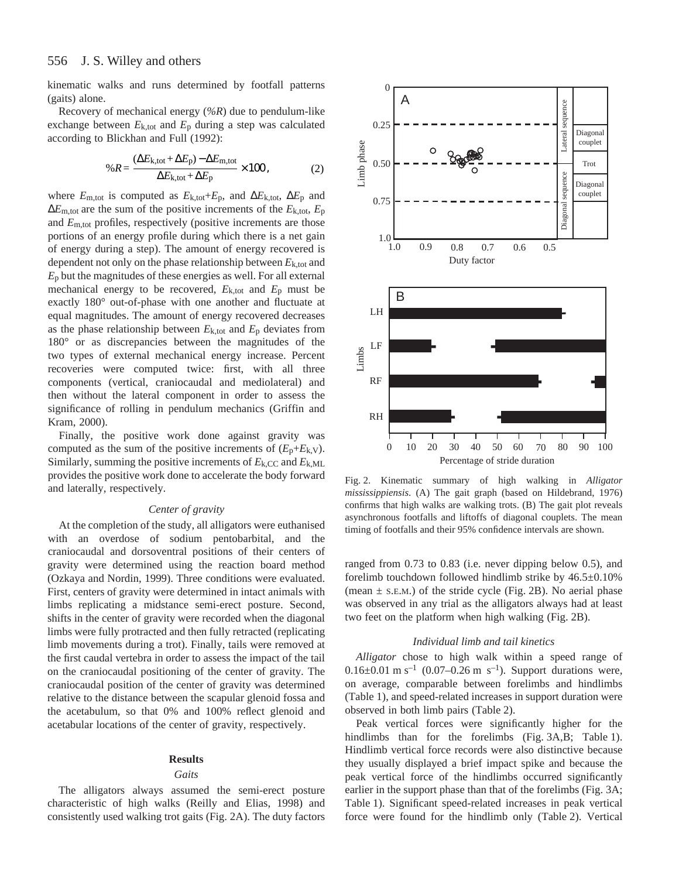kinematic walks and runs determined by footfall patterns (gaits) alone.

Recovery of mechanical energy (*%R*) due to pendulum-like exchange between  $E_{k, tot}$  and  $E_p$  during a step was calculated according to Blickhan and Full (1992):

$$
\%R = \frac{(\Delta E_{k, tot} + \Delta E_{p}) - \Delta E_{m, tot}}{\Delta E_{k, tot} + \Delta E_{p}} \times 100, \tag{2}
$$

where  $E_{m, tot}$  is computed as  $E_{k,tot} + E_p$ , and  $\Delta E_{k,tot}$ ,  $\Delta E_p$  and  $\Delta E_{\text{m,tot}}$  are the sum of the positive increments of the  $E_{k,\text{tot}}$ ,  $E_{\text{p}}$ and *E*m,tot profiles, respectively (positive increments are those portions of an energy profile during which there is a net gain of energy during a step). The amount of energy recovered is dependent not only on the phase relationship between  $E_{k,tot}$  and *E*p but the magnitudes of these energies as well. For all external mechanical energy to be recovered,  $E_{k, tot}$  and  $E_p$  must be exactly 180° out-of-phase with one another and fluctuate at equal magnitudes. The amount of energy recovered decreases as the phase relationship between  $E_{k, tot}$  and  $E_p$  deviates from 180° or as discrepancies between the magnitudes of the two types of external mechanical energy increase. Percent recoveries were computed twice: first, with all three components (vertical, craniocaudal and mediolateral) and then without the lateral component in order to assess the significance of rolling in pendulum mechanics (Griffin and Kram, 2000).

Finally, the positive work done against gravity was computed as the sum of the positive increments of  $(E_p + E_{k,V})$ . Similarly, summing the positive increments of  $E_{k,CC}$  and  $E_{k,ML}$ provides the positive work done to accelerate the body forward and laterally, respectively.

## *Center of gravity*

At the completion of the study, all alligators were euthanised with an overdose of sodium pentobarbital, and the craniocaudal and dorsoventral positions of their centers of gravity were determined using the reaction board method (Ozkaya and Nordin, 1999). Three conditions were evaluated. First, centers of gravity were determined in intact animals with limbs replicating a midstance semi-erect posture. Second, shifts in the center of gravity were recorded when the diagonal limbs were fully protracted and then fully retracted (replicating limb movements during a trot). Finally, tails were removed at the first caudal vertebra in order to assess the impact of the tail on the craniocaudal positioning of the center of gravity. The craniocaudal position of the center of gravity was determined relative to the distance between the scapular glenoid fossa and the acetabulum, so that 0% and 100% reflect glenoid and acetabular locations of the center of gravity, respectively.

#### **Results**

#### *Gaits*

The alligators always assumed the semi-erect posture characteristic of high walks (Reilly and Elias, 1998) and consistently used walking trot gaits (Fig. 2A). The duty factors



Fig. 2. Kinematic summary of high walking in *Alligator mississippiensis*. (A) The gait graph (based on Hildebrand, 1976) confirms that high walks are walking trots. (B) The gait plot reveals asynchronous footfalls and liftoffs of diagonal couplets. The mean timing of footfalls and their 95% confidence intervals are shown.

ranged from 0.73 to 0.83 (i.e. never dipping below 0.5), and forelimb touchdown followed hindlimb strike by 46.5±0.10% (mean  $\pm$  s.e.m.) of the stride cycle (Fig. 2B). No aerial phase was observed in any trial as the alligators always had at least two feet on the platform when high walking (Fig. 2B).

## *Individual limb and tail kinetics*

*Alligator* chose to high walk within a speed range of 0.16 $\pm$ 0.01 m s<sup>-1</sup> (0.07–0.26 m s<sup>-1</sup>). Support durations were, on average, comparable between forelimbs and hindlimbs (Table 1), and speed-related increases in support duration were observed in both limb pairs (Table·2).

Peak vertical forces were significantly higher for the hindlimbs than for the forelimbs  $(Fig. 3A,B; Table 1)$ . Hindlimb vertical force records were also distinctive because they usually displayed a brief impact spike and because the peak vertical force of the hindlimbs occurred significantly earlier in the support phase than that of the forelimbs (Fig. 3A; Table 1). Significant speed-related increases in peak vertical force were found for the hindlimb only (Table 2). Vertical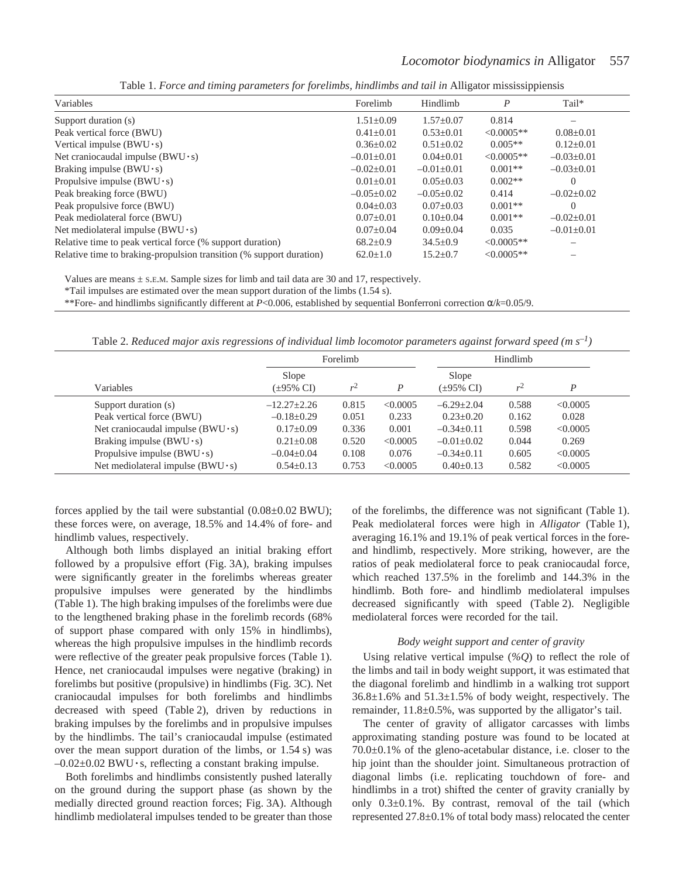| Variables                                                           | Forelimb         | Hindlimb        | P                | $Tail^*$         |
|---------------------------------------------------------------------|------------------|-----------------|------------------|------------------|
| Support duration (s)                                                | $1.51 \pm 0.09$  | $1.57+0.07$     | 0.814            |                  |
| Peak vertical force (BWU)                                           | $0.41 + 0.01$    | $0.53+0.01$     | $\leq 0.0005$ ** | $0.08 \pm 0.01$  |
| Vertical impulse ( $BWU \cdot s$ )                                  | $0.36 \pm 0.02$  | $0.51 \pm 0.02$ | $0.005**$        | $0.12 \pm 0.01$  |
| Net craniocaudal impulse $(BWU \cdot s)$                            | $-0.01 + 0.01$   | $0.04 \pm 0.01$ | $\leq 0.0005**$  | $-0.03+0.01$     |
| Braking impulse $(BWU \cdot s)$                                     | $-0.02+0.01$     | $-0.01 + 0.01$  | $0.001**$        | $-0.03+0.01$     |
| Propulsive impulse $(BWU \cdot s)$                                  | $0.01 \pm 0.01$  | $0.05 + 0.03$   | $0.002**$        | $\left( \right)$ |
| Peak breaking force (BWU)                                           | $-0.05 \pm 0.02$ | $-0.05+0.02$    | 0.414            | $-0.02\pm0.02$   |
| Peak propulsive force (BWU)                                         | $0.04 + 0.03$    | $0.07+0.03$     | $0.001**$        |                  |
| Peak mediolateral force (BWU)                                       | $0.07+0.01$      | $0.10+0.04$     | $0.001**$        | $-0.02+0.01$     |
| Net mediolateral impulse ( $BWU \cdot s$ )                          | $0.07 \pm 0.04$  | $0.09 \pm 0.04$ | 0.035            | $-0.01\pm0.01$   |
| Relative time to peak vertical force (% support duration)           | $68.2 + 0.9$     | $34.5 \pm 0.9$  | $\leq 0.0005**$  |                  |
| Relative time to braking-propulsion transition (% support duration) | $62.0 \pm 1.0$   | $15.2 + 0.7$    | $\leq 0.0005**$  |                  |

Table 1. *Force and timing parameters for forelimbs, hindlimbs and tail in* Alligator mississippiensis

Values are means  $\pm$  s.e.m. Sample sizes for limb and tail data are 30 and 17, respectively.

\*Tail impulses are estimated over the mean support duration of the limbs (1.54·s).

\*\*Fore- and hindlimbs significantly different at *P*<0.006, established by sequential Bonferroni correction α/*k*=0.05/9.

Table 2. *Reduced major axis regressions of individual limb locomotor parameters against forward speed (m·s–1)*

|                                          | Forelimb                         |       |          | Hindlimb                         |       |          |
|------------------------------------------|----------------------------------|-------|----------|----------------------------------|-------|----------|
| Variables                                | Slope<br>$(\pm 95\% \text{ CI})$ | r     | D        | Slope<br>$(\pm 95\% \text{ CI})$ | v     | D        |
| Support duration (s)                     | $-12.27 \pm 2.26$                | 0.815 | < 0.0005 | $-6.29 + 2.04$                   | 0.588 | < 0.0005 |
| Peak vertical force (BWU)                | $-0.18 \pm 0.29$                 | 0.051 | 0.233    | $0.23 + 0.20$                    | 0.162 | 0.028    |
| Net craniocaudal impulse $(BWU \cdot s)$ | $0.17 \pm 0.09$                  | 0.336 | 0.001    | $-0.34\pm0.11$                   | 0.598 | < 0.0005 |
| Braking impulse ( $BWU \cdot s$ )        | $0.21 \pm 0.08$                  | 0.520 | < 0.0005 | $-0.01 \pm 0.02$                 | 0.044 | 0.269    |
| Propulsive impulse $(BWU \cdot s)$       | $-0.04\pm0.04$                   | 0.108 | 0.076    | $-0.34\pm0.11$                   | 0.605 | < 0.0005 |
| Net mediolateral impulse $(BWU \cdot s)$ | $0.54 \pm 0.13$                  | 0.753 | < 0.0005 | $0.40 \pm 0.13$                  | 0.582 | < 0.0005 |

forces applied by the tail were substantial  $(0.08\pm0.02$  BWU); these forces were, on average, 18.5% and 14.4% of fore- and hindlimb values, respectively.

Although both limbs displayed an initial braking effort followed by a propulsive effort (Fig. 3A), braking impulses were significantly greater in the forelimbs whereas greater propulsive impulses were generated by the hindlimbs (Table 1). The high braking impulses of the forelimbs were due to the lengthened braking phase in the forelimb records (68% of support phase compared with only 15% in hindlimbs), whereas the high propulsive impulses in the hindlimb records were reflective of the greater peak propulsive forces (Table 1). Hence, net craniocaudal impulses were negative (braking) in forelimbs but positive (propulsive) in hindlimbs (Fig. 3C). Net craniocaudal impulses for both forelimbs and hindlimbs decreased with speed (Table 2), driven by reductions in braking impulses by the forelimbs and in propulsive impulses by the hindlimbs. The tail's craniocaudal impulse (estimated over the mean support duration of the limbs, or  $1.54$  s) was  $-0.02\pm0.02$  BWU  $\cdot$ s, reflecting a constant braking impulse.

Both forelimbs and hindlimbs consistently pushed laterally on the ground during the support phase (as shown by the medially directed ground reaction forces; Fig. 3A). Although hindlimb mediolateral impulses tended to be greater than those of the forelimbs, the difference was not significant (Table·1). Peak mediolateral forces were high in *Alligator* (Table 1), averaging 16.1% and 19.1% of peak vertical forces in the foreand hindlimb, respectively. More striking, however, are the ratios of peak mediolateral force to peak craniocaudal force, which reached 137.5% in the forelimb and 144.3% in the hindlimb. Both fore- and hindlimb mediolateral impulses decreased significantly with speed (Table 2). Negligible mediolateral forces were recorded for the tail.

## *Body weight support and center of gravity*

Using relative vertical impulse (*%Q*) to reflect the role of the limbs and tail in body weight support, it was estimated that the diagonal forelimb and hindlimb in a walking trot support  $36.8 \pm 1.6$ % and  $51.3 \pm 1.5$ % of body weight, respectively. The remainder, 11.8±0.5%, was supported by the alligator's tail.

The center of gravity of alligator carcasses with limbs approximating standing posture was found to be located at 70.0±0.1% of the gleno-acetabular distance, i.e. closer to the hip joint than the shoulder joint. Simultaneous protraction of diagonal limbs (i.e. replicating touchdown of fore- and hindlimbs in a trot) shifted the center of gravity cranially by only 0.3±0.1%. By contrast, removal of the tail (which represented 27.8±0.1% of total body mass) relocated the center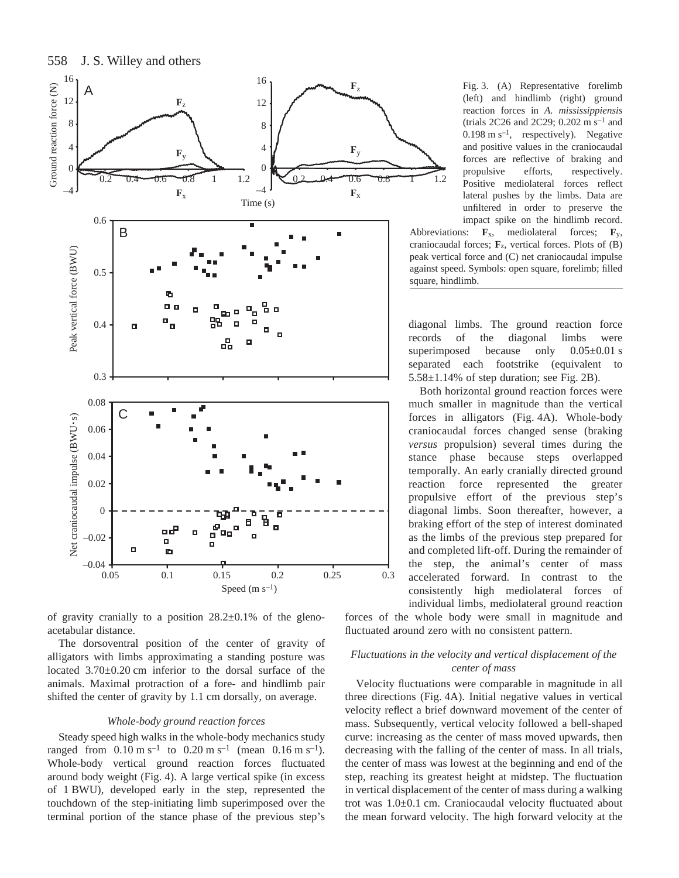



of gravity cranially to a position  $28.2 \pm 0.1\%$  of the glenoacetabular distance.

The dorsoventral position of the center of gravity of alligators with limbs approximating a standing posture was located  $3.70\pm0.20$  cm inferior to the dorsal surface of the animals. Maximal protraction of a fore- and hindlimb pair shifted the center of gravity by 1.1 cm dorsally, on average.

## *Whole-body ground reaction forces*

Steady speed high walks in the whole-body mechanics study ranged from  $0.10 \text{ m s}^{-1}$  to  $0.20 \text{ m s}^{-1}$  (mean  $0.16 \text{ m s}^{-1}$ ). Whole-body vertical ground reaction forces fluctuated around body weight (Fig. 4). A large vertical spike (in excess of 1 BWU), developed early in the step, represented the touchdown of the step-initiating limb superimposed over the terminal portion of the stance phase of the previous step's Fig. 3. (A) Representative forelimb (left) and hindlimb (right) ground reaction forces in *A. mississippiensis* (trials 2C26 and 2C29; 0.202 m s<sup>-1</sup> and  $0.198 \text{ m s}^{-1}$ , respectively). Negative and positive values in the craniocaudal forces are reflective of braking and propulsive efforts, respectively. Positive mediolateral forces reflect lateral pushes by the limbs. Data are unfiltered in order to preserve the impact spike on the hindlimb record.

Abbreviations: **F**x, mediolateral forces; **F**y, craniocaudal forces; **F**z, vertical forces. Plots of (B) peak vertical force and (C) net craniocaudal impulse against speed. Symbols: open square, forelimb; filled square, hindlimb.

diagonal limbs. The ground reaction force records of the diagonal limbs were superimposed because only  $0.05\pm0.01$  s separated each footstrike (equivalent to  $5.58\pm1.14\%$  of step duration; see Fig. 2B).

Both horizontal ground reaction forces were much smaller in magnitude than the vertical forces in alligators (Fig. 4A). Whole-body craniocaudal forces changed sense (braking *versus* propulsion) several times during the stance phase because steps overlapped temporally. An early cranially directed ground reaction force represented the greater propulsive effort of the previous step's diagonal limbs. Soon thereafter, however, a braking effort of the step of interest dominated as the limbs of the previous step prepared for and completed lift-off. During the remainder of the step, the animal's center of mass accelerated forward. In contrast to the consistently high mediolateral forces of individual limbs, mediolateral ground reaction

forces of the whole body were small in magnitude and fluctuated around zero with no consistent pattern.

# *Fluctuations in the velocity and vertical displacement of the center of mass*

Velocity fluctuations were comparable in magnitude in all three directions (Fig. 4A). Initial negative values in vertical velocity reflect a brief downward movement of the center of mass. Subsequently, vertical velocity followed a bell-shaped curve: increasing as the center of mass moved upwards, then decreasing with the falling of the center of mass. In all trials, the center of mass was lowest at the beginning and end of the step, reaching its greatest height at midstep. The fluctuation in vertical displacement of the center of mass during a walking trot was 1.0±0.1 cm. Craniocaudal velocity fluctuated about the mean forward velocity. The high forward velocity at the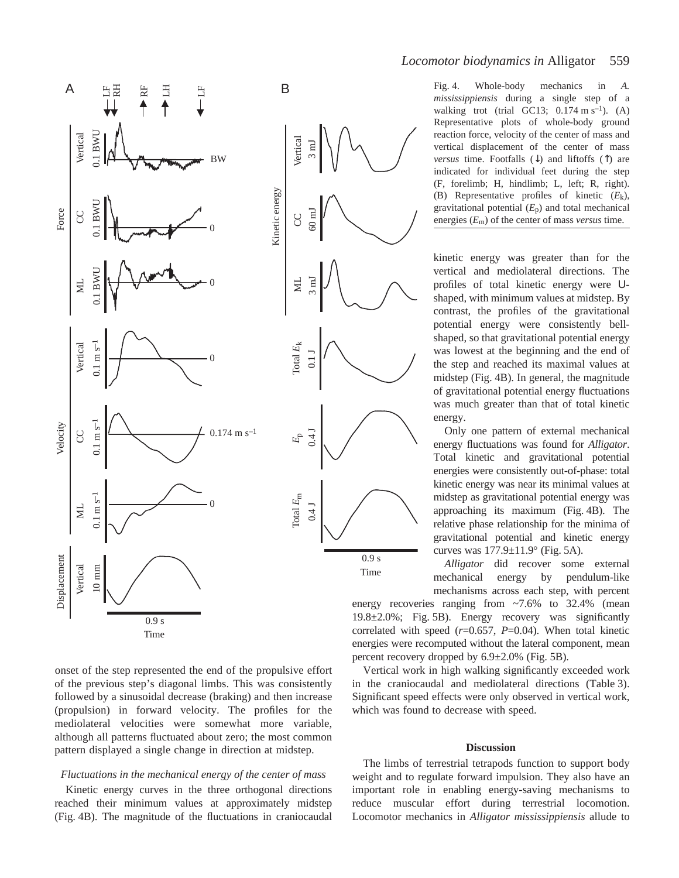

onset of the step represented the end of the propulsive effort of the previous step's diagonal limbs. This was consistently followed by a sinusoidal decrease (braking) and then increase (propulsion) in forward velocity. The profiles for the mediolateral velocities were somewhat more variable, although all patterns fluctuated about zero; the most common pattern displayed a single change in direction at midstep.

## *Fluctuations in the mechanical energy of the center of mass*

Kinetic energy curves in the three orthogonal directions reached their minimum values at approximately midstep (Fig. 4B). The magnitude of the fluctuations in craniocaudal Fig. 4. Whole-body mechanics in *A*. *mississippiensis* during a single step of a walking trot (trial GC13;  $0.174 \text{ m s}^{-1}$ ). (A) Representative plots of whole-body ground reaction force, velocity of the center of mass and vertical displacement of the center of mass *versus* time. Footfalls (↓) and liftoffs (↑) are indicated for individual feet during the step (F, forelimb; H, hindlimb; L, left; R, right). (B) Representative profiles of kinetic (*E*k), gravitational potential (*E*p) and total mechanical energies (*E*m) of the center of mass *versus* time.

kinetic energy was greater than for the vertical and mediolateral directions. The profiles of total kinetic energy were Ushaped, with minimum values at midstep. By contrast, the profiles of the gravitational potential energy were consistently bellshaped, so that gravitational potential energy was lowest at the beginning and the end of the step and reached its maximal values at midstep (Fig. 4B). In general, the magnitude of gravitational potential energy fluctuations was much greater than that of total kinetic energy.

Only one pattern of external mechanical energy fluctuations was found for *Alligator*. Total kinetic and gravitational potential energies were consistently out-of-phase: total kinetic energy was near its minimal values at midstep as gravitational potential energy was approaching its maximum (Fig. 4B). The relative phase relationship for the minima of gravitational potential and kinetic energy curves was  $177.9 \pm 11.9^{\circ}$  (Fig. 5A).

*Alligator* did recover some external mechanical energy by pendulum-like mechanisms across each step, with percent

energy recoveries ranging from ~7.6% to 32.4% (mean  $19.8\pm2.0\%$ ; Fig. 5B). Energy recovery was significantly correlated with speed (*r*=0.657, *P*=0.04). When total kinetic energies were recomputed without the lateral component, mean percent recovery dropped by  $6.9 \pm 2.0\%$  (Fig. 5B).

Vertical work in high walking significantly exceeded work in the craniocaudal and mediolateral directions (Table 3). Significant speed effects were only observed in vertical work, which was found to decrease with speed.

#### **Discussion**

The limbs of terrestrial tetrapods function to support body weight and to regulate forward impulsion. They also have an important role in enabling energy-saving mechanisms to reduce muscular effort during terrestrial locomotion. Locomotor mechanics in *Alligator mississippiensis* allude to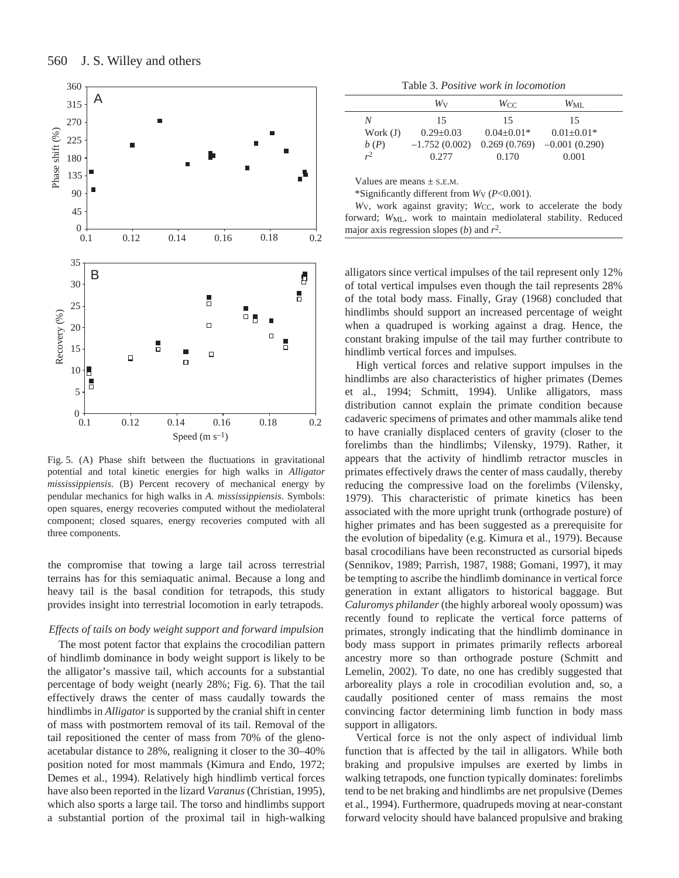

Fig. 5. (A) Phase shift between the fluctuations in gravitational potential and total kinetic energies for high walks in *Alligator mississippiensis*. (B) Percent recovery of mechanical energy by pendular mechanics for high walks in *A. mississippiensis*. Symbols: open squares, energy recoveries computed without the mediolateral component; closed squares, energy recoveries computed with all three components.

the compromise that towing a large tail across terrestrial terrains has for this semiaquatic animal. Because a long and heavy tail is the basal condition for tetrapods, this study provides insight into terrestrial locomotion in early tetrapods.

# *Effects of tails on body weight support and forward impulsion*

The most potent factor that explains the crocodilian pattern of hindlimb dominance in body weight support is likely to be the alligator's massive tail, which accounts for a substantial percentage of body weight (nearly 28%; Fig. 6). That the tail effectively draws the center of mass caudally towards the hindlimbs in *Alligator* is supported by the cranial shift in center of mass with postmortem removal of its tail. Removal of the tail repositioned the center of mass from 70% of the glenoacetabular distance to 28%, realigning it closer to the 30–40% position noted for most mammals (Kimura and Endo, 1972; Demes et al., 1994). Relatively high hindlimb vertical forces have also been reported in the lizard *Varanus* (Christian, 1995), which also sports a large tail. The torso and hindlimbs support a substantial portion of the proximal tail in high-walking

Table 3. *Positive work in locomotion*

|            | Wv              | Wcc            | $W_{\rm ML}$    |  |
|------------|-----------------|----------------|-----------------|--|
| N          | 15              | 15             | 15              |  |
| Work $(J)$ | $0.29 + 0.03$   | $0.04 + 0.01*$ | $0.01 + 0.01*$  |  |
| b(P)       | $-1.752(0.002)$ | 0.269(0.769)   | $-0.001(0.290)$ |  |
| $r^2$      | 0.277           | 0.170          | 0.001           |  |

Values are means  $\pm$  S.E.M.

\*Significantly different from *W*V (*P*<0.001).

*W*v, work against gravity; *Wcc*, work to accelerate the body forward; W<sub>ML</sub>, work to maintain mediolateral stability. Reduced major axis regression slopes (*b*) and *r*2.

alligators since vertical impulses of the tail represent only 12% of total vertical impulses even though the tail represents 28% of the total body mass. Finally, Gray (1968) concluded that hindlimbs should support an increased percentage of weight when a quadruped is working against a drag. Hence, the constant braking impulse of the tail may further contribute to hindlimb vertical forces and impulses.

High vertical forces and relative support impulses in the hindlimbs are also characteristics of higher primates (Demes et al., 1994; Schmitt, 1994). Unlike alligators, mass distribution cannot explain the primate condition because cadaveric specimens of primates and other mammals alike tend to have cranially displaced centers of gravity (closer to the forelimbs than the hindlimbs; Vilensky, 1979). Rather, it appears that the activity of hindlimb retractor muscles in primates effectively draws the center of mass caudally, thereby reducing the compressive load on the forelimbs (Vilensky, 1979). This characteristic of primate kinetics has been associated with the more upright trunk (orthograde posture) of higher primates and has been suggested as a prerequisite for the evolution of bipedality (e.g. Kimura et al., 1979). Because basal crocodilians have been reconstructed as cursorial bipeds (Sennikov, 1989; Parrish, 1987, 1988; Gomani, 1997), it may be tempting to ascribe the hindlimb dominance in vertical force generation in extant alligators to historical baggage. But *Caluromys philander* (the highly arboreal wooly opossum) was recently found to replicate the vertical force patterns of primates, strongly indicating that the hindlimb dominance in body mass support in primates primarily reflects arboreal ancestry more so than orthograde posture (Schmitt and Lemelin, 2002). To date, no one has credibly suggested that arboreality plays a role in crocodilian evolution and, so, a caudally positioned center of mass remains the most convincing factor determining limb function in body mass support in alligators.

Vertical force is not the only aspect of individual limb function that is affected by the tail in alligators. While both braking and propulsive impulses are exerted by limbs in walking tetrapods, one function typically dominates: forelimbs tend to be net braking and hindlimbs are net propulsive (Demes et al., 1994). Furthermore, quadrupeds moving at near-constant forward velocity should have balanced propulsive and braking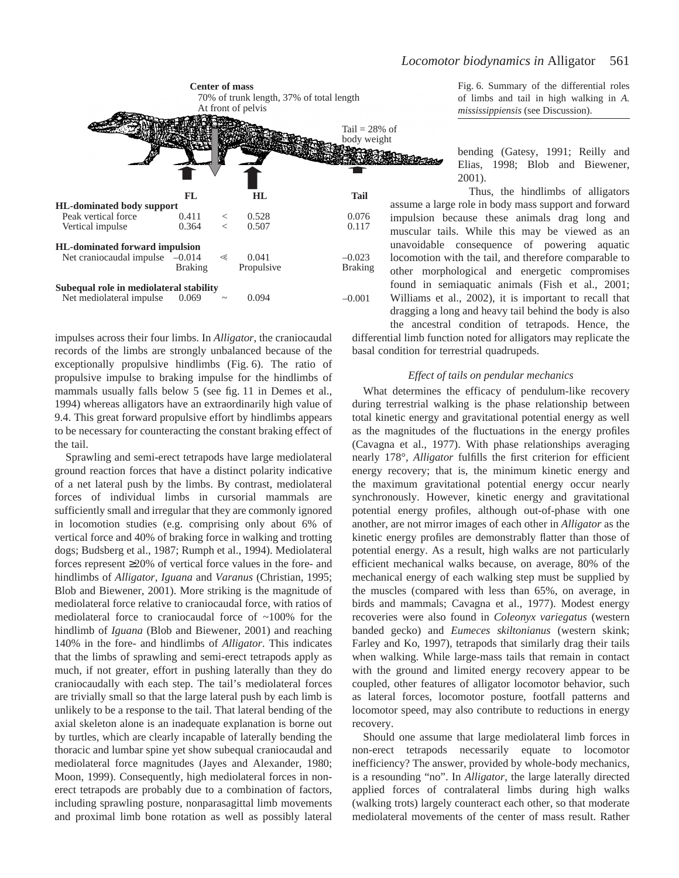

impulses across their four limbs. In *Alligator*, the craniocaudal records of the limbs are strongly unbalanced because of the exceptionally propulsive hindlimbs (Fig. 6). The ratio of propulsive impulse to braking impulse for the hindlimbs of mammals usually falls below 5 (see fig. 11 in Demes et al., 1994) whereas alligators have an extraordinarily high value of 9.4. This great forward propulsive effort by hindlimbs appears to be necessary for counteracting the constant braking effect of the tail.

Sprawling and semi-erect tetrapods have large mediolateral ground reaction forces that have a distinct polarity indicative of a net lateral push by the limbs. By contrast, mediolateral forces of individual limbs in cursorial mammals are sufficiently small and irregular that they are commonly ignored in locomotion studies (e.g. comprising only about 6% of vertical force and 40% of braking force in walking and trotting dogs; Budsberg et al., 1987; Rumph et al., 1994). Mediolateral forces represent ≥20% of vertical force values in the fore- and hindlimbs of *Alligator*, *Iguana* and *Varanus* (Christian, 1995; Blob and Biewener, 2001). More striking is the magnitude of mediolateral force relative to craniocaudal force, with ratios of mediolateral force to craniocaudal force of ~100% for the hindlimb of *Iguana* (Blob and Biewener, 2001) and reaching 140% in the fore- and hindlimbs of *Alligator*. This indicates that the limbs of sprawling and semi-erect tetrapods apply as much, if not greater, effort in pushing laterally than they do craniocaudally with each step. The tail's mediolateral forces are trivially small so that the large lateral push by each limb is unlikely to be a response to the tail. That lateral bending of the axial skeleton alone is an inadequate explanation is borne out by turtles, which are clearly incapable of laterally bending the thoracic and lumbar spine yet show subequal craniocaudal and mediolateral force magnitudes (Jayes and Alexander, 1980; Moon, 1999). Consequently, high mediolateral forces in nonerect tetrapods are probably due to a combination of factors, including sprawling posture, nonparasagittal limb movements and proximal limb bone rotation as well as possibly lateral

Fig. 6. Summary of the differential roles of limbs and tail in high walking in *A. mississippiensis* (see Discussion).

bending (Gatesy, 1991; Reilly and Elias, 1998; Blob and Biewener, 2001).

Thus, the hindlimbs of alligators assume a large role in body mass support and forward impulsion because these animals drag long and muscular tails. While this may be viewed as an unavoidable consequence of powering aquatic locomotion with the tail, and therefore comparable to other morphological and energetic compromises found in semiaquatic animals (Fish et al., 2001; Williams et al., 2002), it is important to recall that dragging a long and heavy tail behind the body is also the ancestral condition of tetrapods. Hence, the

differential limb function noted for alligators may replicate the basal condition for terrestrial quadrupeds.

## *Effect of tails on pendular mechanics*

What determines the efficacy of pendulum-like recovery during terrestrial walking is the phase relationship between total kinetic energy and gravitational potential energy as well as the magnitudes of the fluctuations in the energy profiles (Cavagna et al., 1977). With phase relationships averaging nearly 178°, *Alligator* fulfills the first criterion for efficient energy recovery; that is, the minimum kinetic energy and the maximum gravitational potential energy occur nearly synchronously. However, kinetic energy and gravitational potential energy profiles, although out-of-phase with one another, are not mirror images of each other in *Alligator* as the kinetic energy profiles are demonstrably flatter than those of potential energy. As a result, high walks are not particularly efficient mechanical walks because, on average, 80% of the mechanical energy of each walking step must be supplied by the muscles (compared with less than 65%, on average, in birds and mammals; Cavagna et al., 1977). Modest energy recoveries were also found in *Coleonyx variegatus* (western banded gecko) and *Eumeces skiltonianus* (western skink; Farley and Ko, 1997), tetrapods that similarly drag their tails when walking. While large-mass tails that remain in contact with the ground and limited energy recovery appear to be coupled, other features of alligator locomotor behavior, such as lateral forces, locomotor posture, footfall patterns and locomotor speed, may also contribute to reductions in energy recovery.

Should one assume that large mediolateral limb forces in non-erect tetrapods necessarily equate to locomotor inefficiency? The answer, provided by whole-body mechanics, is a resounding "no". In *Alligator*, the large laterally directed applied forces of contralateral limbs during high walks (walking trots) largely counteract each other, so that moderate mediolateral movements of the center of mass result. Rather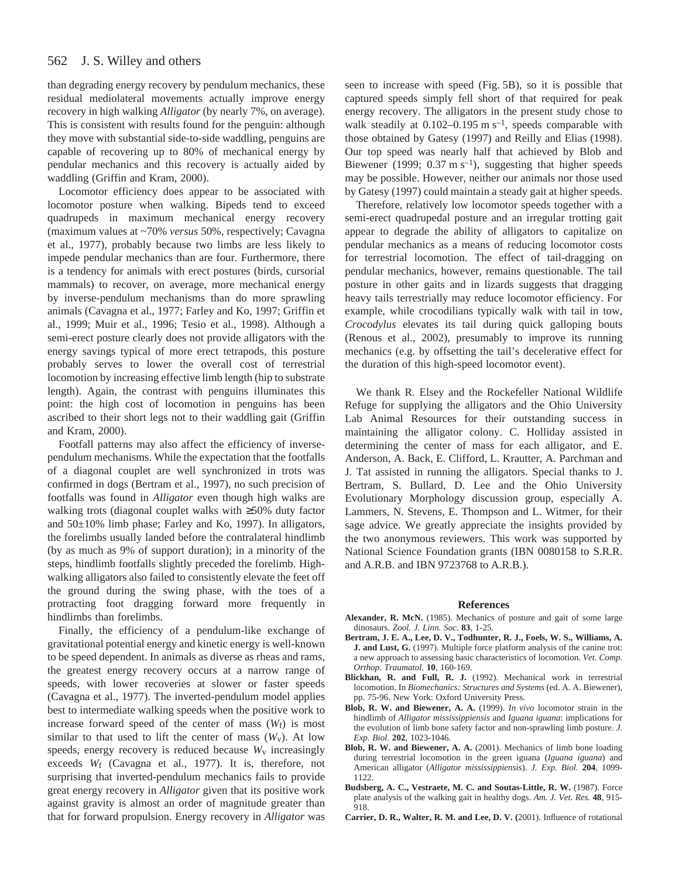than degrading energy recovery by pendulum mechanics, these residual mediolateral movements actually improve energy recovery in high walking *Alligator* (by nearly 7%, on average). This is consistent with results found for the penguin: although they move with substantial side-to-side waddling, penguins are capable of recovering up to 80% of mechanical energy by pendular mechanics and this recovery is actually aided by waddling (Griffin and Kram, 2000).

Locomotor efficiency does appear to be associated with locomotor posture when walking. Bipeds tend to exceed quadrupeds in maximum mechanical energy recovery (maximum values at ~70% *versus* 50%, respectively; Cavagna et al., 1977), probably because two limbs are less likely to impede pendular mechanics than are four. Furthermore, there is a tendency for animals with erect postures (birds, cursorial mammals) to recover, on average, more mechanical energy by inverse-pendulum mechanisms than do more sprawling animals (Cavagna et al., 1977; Farley and Ko, 1997; Griffin et al., 1999; Muir et al., 1996; Tesio et al., 1998). Although a semi-erect posture clearly does not provide alligators with the energy savings typical of more erect tetrapods, this posture probably serves to lower the overall cost of terrestrial locomotion by increasing effective limb length (hip to substrate length). Again, the contrast with penguins illuminates this point: the high cost of locomotion in penguins has been ascribed to their short legs not to their waddling gait (Griffin and Kram, 2000).

Footfall patterns may also affect the efficiency of inversependulum mechanisms. While the expectation that the footfalls of a diagonal couplet are well synchronized in trots was confirmed in dogs (Bertram et al., 1997), no such precision of footfalls was found in *Alligator* even though high walks are walking trots (diagonal couplet walks with ≥50% duty factor and 50±10% limb phase; Farley and Ko, 1997). In alligators, the forelimbs usually landed before the contralateral hindlimb (by as much as 9% of support duration); in a minority of the steps, hindlimb footfalls slightly preceded the forelimb. Highwalking alligators also failed to consistently elevate the feet off the ground during the swing phase, with the toes of a protracting foot dragging forward more frequently in hindlimbs than forelimbs.

Finally, the efficiency of a pendulum-like exchange of gravitational potential energy and kinetic energy is well-known to be speed dependent. In animals as diverse as rheas and rams, the greatest energy recovery occurs at a narrow range of speeds, with lower recoveries at slower or faster speeds (Cavagna et al., 1977). The inverted-pendulum model applies best to intermediate walking speeds when the positive work to increase forward speed of the center of mass (*W*f) is most similar to that used to lift the center of mass  $(W_v)$ . At low speeds, energy recovery is reduced because  $W<sub>v</sub>$  increasingly exceeds *W*f (Cavagna et al., 1977). It is, therefore, not surprising that inverted-pendulum mechanics fails to provide great energy recovery in *Alligator* given that its positive work against gravity is almost an order of magnitude greater than that for forward propulsion. Energy recovery in *Alligator* was

seen to increase with speed (Fig. 5B), so it is possible that captured speeds simply fell short of that required for peak energy recovery. The alligators in the present study chose to walk steadily at  $0.102-0.195$  m s<sup>-1</sup>, speeds comparable with those obtained by Gatesy (1997) and Reilly and Elias (1998). Our top speed was nearly half that achieved by Blob and Biewener (1999;  $0.37 \text{ m s}^{-1}$ ), suggesting that higher speeds may be possible. However, neither our animals nor those used by Gatesy (1997) could maintain a steady gait at higher speeds.

Therefore, relatively low locomotor speeds together with a semi-erect quadrupedal posture and an irregular trotting gait appear to degrade the ability of alligators to capitalize on pendular mechanics as a means of reducing locomotor costs for terrestrial locomotion. The effect of tail-dragging on pendular mechanics, however, remains questionable. The tail posture in other gaits and in lizards suggests that dragging heavy tails terrestrially may reduce locomotor efficiency. For example, while crocodilians typically walk with tail in tow, *Crocodylus* elevates its tail during quick galloping bouts (Renous et al., 2002), presumably to improve its running mechanics (e.g. by offsetting the tail's decelerative effect for the duration of this high-speed locomotor event).

We thank R. Elsey and the Rockefeller National Wildlife Refuge for supplying the alligators and the Ohio University Lab Animal Resources for their outstanding success in maintaining the alligator colony. C. Holliday assisted in determining the center of mass for each alligator, and E. Anderson, A. Back, E. Clifford, L. Krautter, A. Parchman and J. Tat assisted in running the alligators. Special thanks to J. Bertram, S. Bullard, D. Lee and the Ohio University Evolutionary Morphology discussion group, especially A. Lammers, N. Stevens, E. Thompson and L. Witmer, for their sage advice. We greatly appreciate the insights provided by the two anonymous reviewers. This work was supported by National Science Foundation grants (IBN 0080158 to S.R.R. and A.R.B. and IBN 9723768 to A.R.B.).

#### **References**

- **Alexander, R. McN.** (1985). Mechanics of posture and gait of some large dinosaurs. *Zool. J. Linn. Soc.* **83**, 1-25.
- **Bertram, J. E. A., Lee, D. V., Todhunter, R. J., Foels, W. S., Williams, A. J. and Lust, G.** (1997). Multiple force platform analysis of the canine trot: a new approach to assessing basic characteristics of locomotion. *Vet. Comp. Orthop. Traumatol.* **10**, 160-169.
- **Blickhan, R. and Full, R. J.** (1992). Mechanical work in terrestrial locomotion. In *Biomechanics: Structures and Systems* (ed. A. A. Biewener), pp. 75-96. New York: Oxford University Press.
- **Blob, R. W. and Biewener, A. A.** (1999). *In vivo* locomotor strain in the hindlimb of *Alligator mississippiensis* and *Iguana iguana*: implications for the evolution of limb bone safety factor and non-sprawling limb posture. *J. Exp. Biol.* **202**, 1023-1046.
- **Blob, R. W. and Biewener, A. A.** (2001). Mechanics of limb bone loading during terrestrial locomotion in the green iguana (*Iguana iguana*) and American alligator (*Alligator mississippiensis*). *J. Exp. Biol.* **204**, 1099- 1122.
- **Budsberg, A. C., Vestraete, M. C. and Soutas-Little, R. W.** (1987). Force plate analysis of the walking gait in healthy dogs. *Am. J. Vet. Res.* **48**, 915- 918.
- **Carrier, D. R., Walter, R. M. and Lee, D. V. (**2001). Influence of rotational